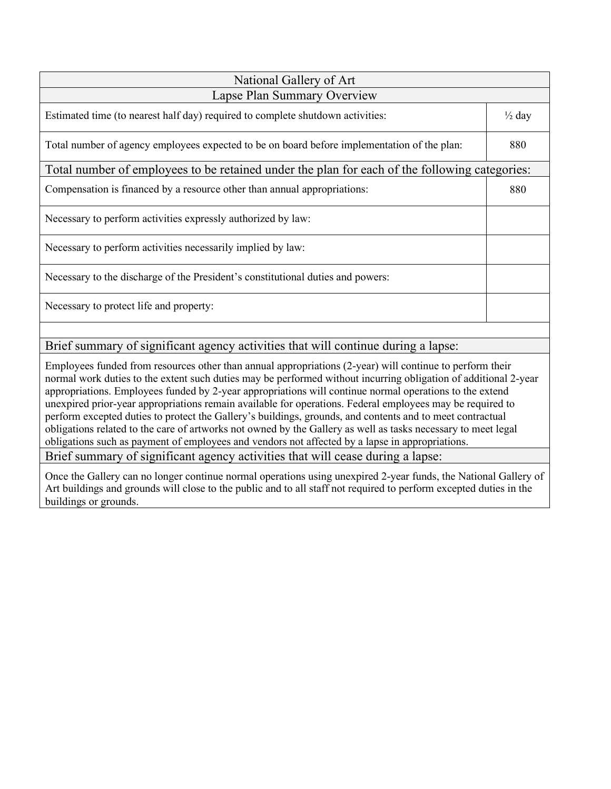| National Gallery of Art                                                                       |     |  |  |
|-----------------------------------------------------------------------------------------------|-----|--|--|
| Lapse Plan Summary Overview                                                                   |     |  |  |
| Estimated time (to nearest half day) required to complete shutdown activities:                |     |  |  |
| Total number of agency employees expected to be on board before implementation of the plan:   | 880 |  |  |
| Total number of employees to be retained under the plan for each of the following categories: |     |  |  |
| Compensation is financed by a resource other than annual appropriations:                      | 880 |  |  |
| Necessary to perform activities expressly authorized by law:                                  |     |  |  |
| Necessary to perform activities necessarily implied by law:                                   |     |  |  |
| Necessary to the discharge of the President's constitutional duties and powers:               |     |  |  |
| Necessary to protect life and property:                                                       |     |  |  |
|                                                                                               |     |  |  |

# Brief summary of significant agency activities that will continue during a lapse:

Employees funded from resources other than annual appropriations (2-year) will continue to perform their normal work duties to the extent such duties may be performed without incurring obligation of additional 2-year appropriations. Employees funded by 2-year appropriations will continue normal operations to the extend unexpired prior-year appropriations remain available for operations. Federal employees may be required to perform excepted duties to protect the Gallery's buildings, grounds, and contents and to meet contractual obligations related to the care of artworks not owned by the Gallery as well as tasks necessary to meet legal obligations such as payment of employees and vendors not affected by a lapse in appropriations. Brief summary of significant agency activities that will cease during a lapse:

Once the Gallery can no longer continue normal operations using unexpired 2-year funds, the National Gallery of Art buildings and grounds will close to the public and to all staff not required to perform excepted duties in the buildings or grounds.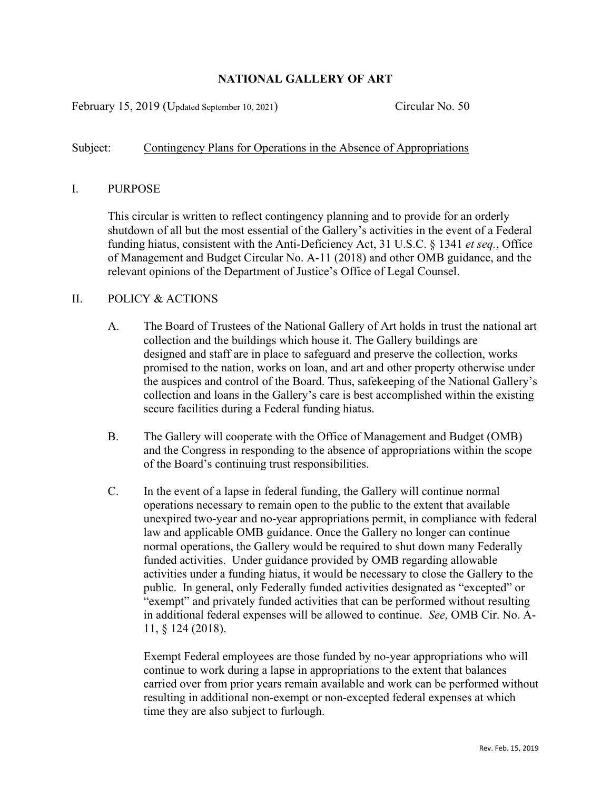## **NATIONAL GALLERY OF ART**

February 15, 2019 (Updated September 10, 2021) Circular No. 50

## Subject: Contingency Plans for Operations in the Absence of Appropriations

## I. PURPOSE

This circular is written to reflect contingency planning and to provide for an orderly shutdown of all but the most essential of the Gallery's activities in the event of a Federal funding hiatus, consistent with the Anti-Deficiency Act, 31 U.S.C. § 1341 *et seq.*, Office of Management and Budget Circular No. A-11 (2018) and other OMB guidance, and the relevant opinions of the Department of Justice's Office of Legal Counsel.

## II. POLICY & ACTIONS

- A. The Board of Trustees of the National Gallery of Art holds in trust the national art collection and the buildings which house it. The Gallery buildings are designed and staff are in place to safeguard and preserve the collection, works promised to the nation, works on loan, and art and other property otherwise under the auspices and control of the Board. Thus, safekeeping of the National Gallery's collection and loans in the Gallery's care is best accomplished within the existing secure facilities during a Federal funding hiatus.
- B. The Gallery will cooperate with the Office of Management and Budget (OMB) and the Congress in responding to the absence of appropriations within the scope of the Board's continuing trust responsibilities.
- C. In the event of a lapse in federal funding, the Gallery will continue normal operations necessary to remain open to the public to the extent that available unexpired two-year and no-year appropriations permit, in compliance with federal law and applicable OMB guidance. Once the Gallery no longer can continue normal operations, the Gallery would be required to shut down many Federally funded activities. Under guidance provided by OMB regarding allowable activities under a funding hiatus, it would be necessary to close the Gallery to the public. In general, only Federally funded activities designated as "excepted" or "exempt" and privately funded activities that can be performed without resulting in additional federal expenses will be allowed to continue. *See*, OMB Cir. No. A-11, § 124 (2018).

Exempt Federal employees are those funded by no-year appropriations who will continue to work during a lapse in appropriations to the extent that balances carried over from prior years remain available and work can be performed without resulting in additional non-exempt or non-excepted federal expenses at which time they are also subject to furlough.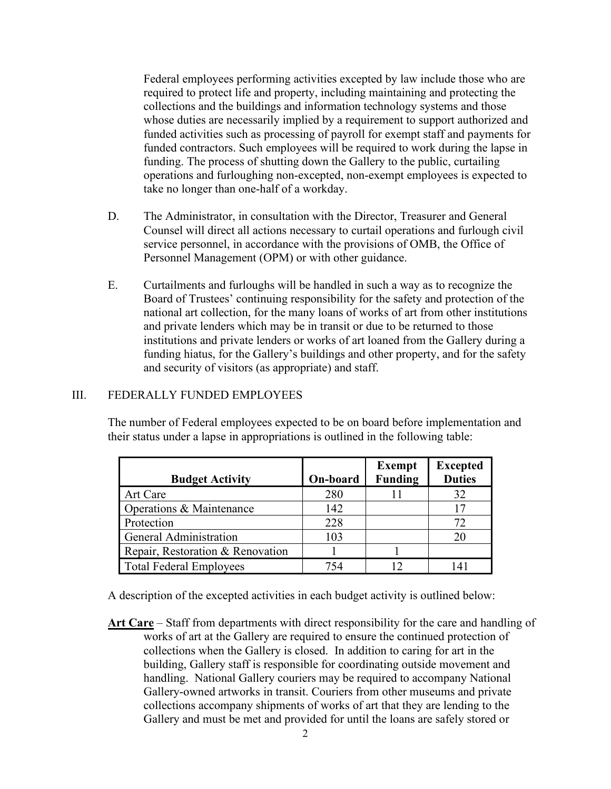Federal employees performing activities excepted by law include those who are required to protect life and property, including maintaining and protecting the collections and the buildings and information technology systems and those whose duties are necessarily implied by a requirement to support authorized and funded activities such as processing of payroll for exempt staff and payments for funded contractors. Such employees will be required to work during the lapse in funding. The process of shutting down the Gallery to the public, curtailing operations and furloughing non-excepted, non-exempt employees is expected to take no longer than one-half of a workday.

- D. The Administrator, in consultation with the Director, Treasurer and General Counsel will direct all actions necessary to curtail operations and furlough civil service personnel, in accordance with the provisions of OMB, the Office of Personnel Management (OPM) or with other guidance.
- E. Curtailments and furloughs will be handled in such a way as to recognize the Board of Trustees' continuing responsibility for the safety and protection of the national art collection, for the many loans of works of art from other institutions and private lenders which may be in transit or due to be returned to those institutions and private lenders or works of art loaned from the Gallery during a funding hiatus, for the Gallery's buildings and other property, and for the safety and security of visitors (as appropriate) and staff.

#### III. FEDERALLY FUNDED EMPLOYEES

The number of Federal employees expected to be on board before implementation and their status under a lapse in appropriations is outlined in the following table:

|                                  |          | <b>Exempt</b>  | <b>Excepted</b> |
|----------------------------------|----------|----------------|-----------------|
| <b>Budget Activity</b>           | On-board | <b>Funding</b> | <b>Duties</b>   |
| <b>Art Care</b>                  | 280      |                | 32              |
| Operations & Maintenance         | 142      |                | 17              |
| Protection                       | 228      |                | 72              |
| <b>General Administration</b>    | 103      |                | 20              |
| Repair, Restoration & Renovation |          |                |                 |
| <b>Total Federal Employees</b>   | 754      |                | 141             |

A description of the excepted activities in each budget activity is outlined below:

**Art Care** – Staff from departments with direct responsibility for the care and handling of works of art at the Gallery are required to ensure the continued protection of collections when the Gallery is closed. In addition to caring for art in the building, Gallery staff is responsible for coordinating outside movement and handling. National Gallery couriers may be required to accompany National Gallery-owned artworks in transit. Couriers from other museums and private collections accompany shipments of works of art that they are lending to the Gallery and must be met and provided for until the loans are safely stored or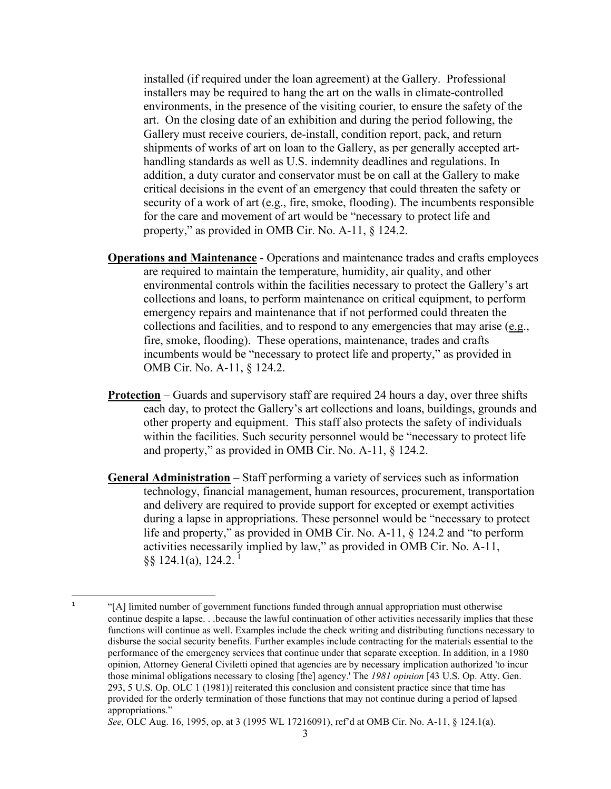installed (if required under the loan agreement) at the Gallery. Professional installers may be required to hang the art on the walls in climate-controlled environments, in the presence of the visiting courier, to ensure the safety of the art. On the closing date of an exhibition and during the period following, the Gallery must receive couriers, de-install, condition report, pack, and return shipments of works of art on loan to the Gallery, as per generally accepted arthandling standards as well as U.S. indemnity deadlines and regulations. In addition, a duty curator and conservator must be on call at the Gallery to make critical decisions in the event of an emergency that could threaten the safety or security of a work of art (e.g., fire, smoke, flooding). The incumbents responsible for the care and movement of art would be "necessary to protect life and property," as provided in OMB Cir. No. A-11, § 124.2.

- **Operations and Maintenance** Operations and maintenance trades and crafts employees are required to maintain the temperature, humidity, air quality, and other environmental controls within the facilities necessary to protect the Gallery's art collections and loans, to perform maintenance on critical equipment, to perform emergency repairs and maintenance that if not performed could threaten the collections and facilities, and to respond to any emergencies that may arise (e.g., fire, smoke, flooding). These operations, maintenance, trades and crafts incumbents would be "necessary to protect life and property," as provided in OMB Cir. No. A-11, § 124.2.
- **Protection** Guards and supervisory staff are required 24 hours a day, over three shifts each day, to protect the Gallery's art collections and loans, buildings, grounds and other property and equipment. This staff also protects the safety of individuals within the facilities. Such security personnel would be "necessary to protect life and property," as provided in OMB Cir. No. A-11, § 124.2.
- **General Administration** Staff performing a variety of services such as information technology, financial management, human resources, procurement, transportation and delivery are required to provide support for excepted or exempt activities during a lapse in appropriations. These personnel would be "necessary to protect life and property," as provided in OMB Cir. No. A-11, § 124.2 and "to perform activities necessarily implied by law," as provided in OMB Cir. No. A-11,  $\S$ § [1](#page-3-0)24.1(a), 124.2.<sup>1</sup>

<span id="page-3-0"></span><sup>&</sup>lt;sup>1</sup> "[A] limited number of government functions funded through annual appropriation must otherwise continue despite a lapse. . .because the lawful continuation of other activities necessarily implies that these functions will continue as well. Examples include the check writing and distributing functions necessary to disburse the social security benefits. Further examples include contracting for the materials essential to the performance of the emergency services that continue under that separate exception. In addition, in a 1980 opinion, Attorney General Civiletti opined that agencies are by necessary implication authorized 'to incur those minimal obligations necessary to closing [the] agency.' The *1981 opinion* [43 U.S. Op. Atty. Gen. 293, 5 U.S. Op. OLC 1 (1981)] reiterated this conclusion and consistent practice since that time has provided for the orderly termination of those functions that may not continue during a period of lapsed appropriations."

*See,* OLC Aug. 16, 1995, op. at 3 (1995 WL 17216091), ref'd at OMB Cir. No. A-11, § 124.1(a).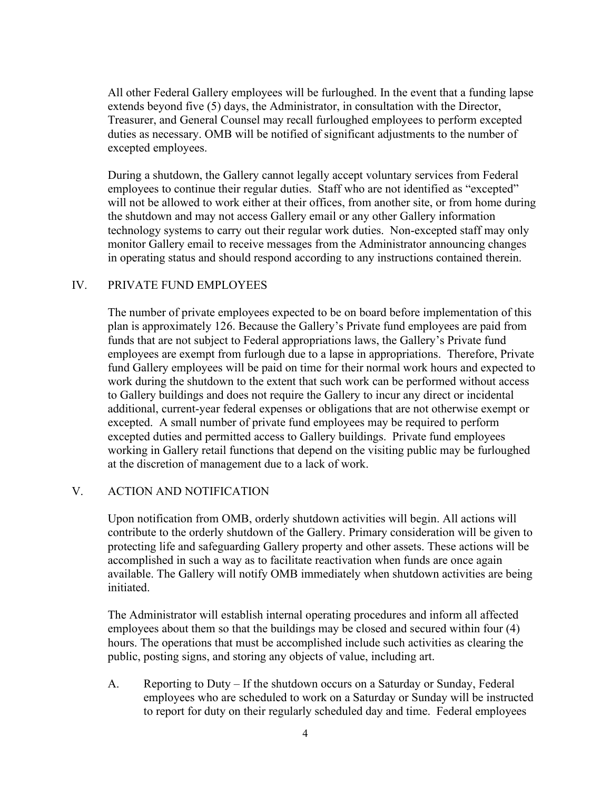All other Federal Gallery employees will be furloughed. In the event that a funding lapse extends beyond five (5) days, the Administrator, in consultation with the Director, Treasurer, and General Counsel may recall furloughed employees to perform excepted duties as necessary. OMB will be notified of significant adjustments to the number of excepted employees.

During a shutdown, the Gallery cannot legally accept voluntary services from Federal employees to continue their regular duties. Staff who are not identified as "excepted" will not be allowed to work either at their offices, from another site, or from home during the shutdown and may not access Gallery email or any other Gallery information technology systems to carry out their regular work duties. Non-excepted staff may only monitor Gallery email to receive messages from the Administrator announcing changes in operating status and should respond according to any instructions contained therein.

## IV. PRIVATE FUND EMPLOYEES

The number of private employees expected to be on board before implementation of this plan is approximately 126. Because the Gallery's Private fund employees are paid from funds that are not subject to Federal appropriations laws, the Gallery's Private fund employees are exempt from furlough due to a lapse in appropriations. Therefore, Private fund Gallery employees will be paid on time for their normal work hours and expected to work during the shutdown to the extent that such work can be performed without access to Gallery buildings and does not require the Gallery to incur any direct or incidental additional, current-year federal expenses or obligations that are not otherwise exempt or excepted. A small number of private fund employees may be required to perform excepted duties and permitted access to Gallery buildings. Private fund employees working in Gallery retail functions that depend on the visiting public may be furloughed at the discretion of management due to a lack of work.

#### V. ACTION AND NOTIFICATION

Upon notification from OMB, orderly shutdown activities will begin. All actions will contribute to the orderly shutdown of the Gallery. Primary consideration will be given to protecting life and safeguarding Gallery property and other assets. These actions will be accomplished in such a way as to facilitate reactivation when funds are once again available. The Gallery will notify OMB immediately when shutdown activities are being initiated.

The Administrator will establish internal operating procedures and inform all affected employees about them so that the buildings may be closed and secured within four (4) hours. The operations that must be accomplished include such activities as clearing the public, posting signs, and storing any objects of value, including art.

A. Reporting to Duty – If the shutdown occurs on a Saturday or Sunday, Federal employees who are scheduled to work on a Saturday or Sunday will be instructed to report for duty on their regularly scheduled day and time. Federal employees